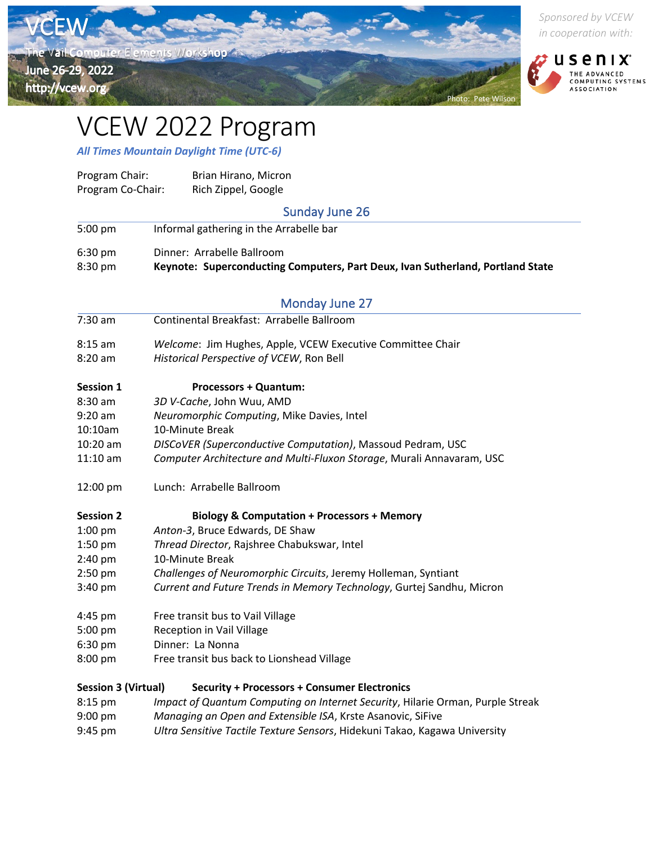

*Sponsored by VCEW in cooperation with:*



## VCEW 2022 Program

*All Times Mountain Daylight Time (UTC-6)*

| Program Chair:             | Brian Hirano, Micron                                                           |
|----------------------------|--------------------------------------------------------------------------------|
| Program Co-Chair:          | Rich Zippel, Google                                                            |
|                            | <b>Sunday June 26</b>                                                          |
| 5:00 pm                    | Informal gathering in the Arrabelle bar                                        |
| 6:30 pm                    | Dinner: Arrabelle Ballroom                                                     |
| 8:30 pm                    | Keynote: Superconducting Computers, Part Deux, Ivan Sutherland, Portland State |
|                            | <b>Monday June 27</b>                                                          |
| 7:30 am                    | Continental Breakfast: Arrabelle Ballroom                                      |
| $8:15$ am                  | Welcome: Jim Hughes, Apple, VCEW Executive Committee Chair                     |
| 8:20 am                    | Historical Perspective of VCEW, Ron Bell                                       |
| <b>Session 1</b>           | <b>Processors + Quantum:</b>                                                   |
| 8:30 am                    | 3D V-Cache, John Wuu, AMD                                                      |
| $9:20$ am                  | Neuromorphic Computing, Mike Davies, Intel                                     |
| 10:10am                    | 10-Minute Break                                                                |
| 10:20 am                   | DISCoVER (Superconductive Computation), Massoud Pedram, USC                    |
| $11:10$ am                 | Computer Architecture and Multi-Fluxon Storage, Murali Annavaram, USC          |
| 12:00 pm                   | Lunch: Arrabelle Ballroom                                                      |
| <b>Session 2</b>           | <b>Biology &amp; Computation + Processors + Memory</b>                         |
| $1:00$ pm                  | Anton-3, Bruce Edwards, DE Shaw                                                |
| 1:50 pm                    | Thread Director, Rajshree Chabukswar, Intel                                    |
| $2:40$ pm                  | 10-Minute Break                                                                |
| $2:50$ pm                  | Challenges of Neuromorphic Circuits, Jeremy Holleman, Syntiant                 |
| 3:40 pm                    | Current and Future Trends in Memory Technology, Gurtej Sandhu, Micron          |
| 4:45 pm                    | Free transit bus to Vail Village                                               |
| 5:00 pm                    | <b>Reception in Vail Village</b>                                               |
| 6:30 pm                    | Dinner: La Nonna                                                               |
| $8:00$ pm                  | Free transit bus back to Lionshead Village                                     |
| <b>Session 3 (Virtual)</b> | <b>Security + Processors + Consumer Electronics</b>                            |
| 8:15 pm                    | Impact of Quantum Computing on Internet Security, Hilarie Orman, Purple Streak |
| 9:00 pm                    | Managing an Open and Extensible ISA, Krste Asanovic, SiFive                    |
| 9:45 pm                    | Ultra Sensitive Tactile Texture Sensors, Hidekuni Takao, Kagawa University     |
|                            |                                                                                |